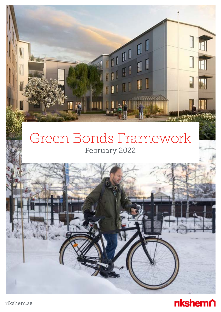## Green Bonds Framework February 2022

H

 $\mathbf{I}$ 

H

 $\mathbf{1}$ 



**rikshem**n

顶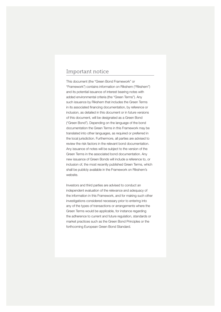## Important notice

This document (the "Green Bond Framework" or "Framework") contains information on Rikshem ("Rikshem") and its potential issuance of interest bearing notes with added environmental criteria (the "Green Terms"). Any such issuance by Rikshem that includes the Green Terms in its associated financing documentation, by reference or inclusion, as detailed in this document or in future versions of this document, will be designated as a Green Bond ("Green Bond"). Depending on the language of the bond documentation the Green Terms in this Framework may be translated into other languages, as required or preferred in the local jurisdiction. Furthermore, all parties are advised to review the risk factors in the relevant bond documentation. Any issuance of notes will be subject to the version of the Green Terms in the associated bond documentation. Any new issuance of Green Bonds will include a reference to, or inclusion of, the most recently published Green Terms, which shall be publicly available in the Framework on Rikshem's website.

Investors and third parties are advised to conduct an independent evaluation of the relevance and adequacy of the information in this Framework, and for making such other investigations considered necessary prior to entering into any of the types of transactions or arrangements where the Green Terms would be applicable, for instance regarding the adherence to current and future regulation, standards or market practices such as the Green Bond Principles or the forthcoming European Green Bond Standard.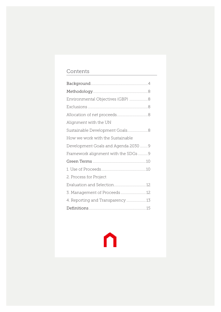## Contents

| Environmental Objectives (GBP) 8    |  |
|-------------------------------------|--|
|                                     |  |
|                                     |  |
| Alignment with the UN               |  |
| Sustainable Development Goals8      |  |
| How we work with the Sustainable    |  |
| Development Goals and Agenda 2030 9 |  |
| Framework alignment with the SDGs 9 |  |
|                                     |  |
|                                     |  |
| 2. Process for Project              |  |
|                                     |  |
| 3. Management of Proceeds  12       |  |
| 4. Reporting and Transparency 13    |  |
|                                     |  |

# ⋂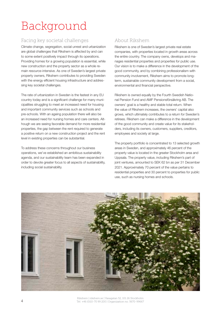## Background

## Facing key societal challenges

Climate change, segregation, social unrest and urbanization are global challenges that Rikshem is affected by and can to some extent positively impact through its operations. Providing homes for a growing population is essential, while new construction and the property sector as a whole remain resource-intensive. As one of Sweden's largest private property owners, Rikshem contributes to providing Sweden with the energy efficient housing infrastructure and addressing key societal challenges.

The rate of urbanization in Sweden is the fastest in any EU country today and is a significant challenge for many municipalities struggling to meet an increased need for housing and important community services such as schools and pre-schools. With an ageing population there will also be an increased need for nursing homes and care centers. Although we are seeing favorable demand for more residential properties, the gap between the rent required to generate a positive return on a new construction project and the rent level in existing properties can be substantial.

To address these concerns throughout our business operations, we've established an ambitious sustainability agenda, and our sustainability team has been expanded in order to devote greater focus to all aspects of sustainability, including social sustainability.

## About Rikshem

Rikshem is one of Sweden's largest private real estate companies, with properties located in growth areas across the entire country. The company owns, develops and manages residential properties and properties for public use. Our vision is to make a difference in the development of the good community, and by combining professionalism with community involvement, Rikshem aims to promote longterm, sustainable community development from a social, environmental and financial perspective.

Rikshem is owned equally by the Fourth Swedish National Pension Fund and AMF Pensionsförsäkring AB. The owners' goal is a healthy and stable total return. When the value of Rikshem increases, the owners' capital also grows, which ultimately contributes to a return for Sweden's retirees. Rikshem can make a difference in the development of the good community and create value for its stakeholders, including its owners, customers, suppliers, creditors, employees and society at large.

The property portfolio is concentrated to 13 selected growth areas in Sweden, and approximately 46 percent of the property value is located in the greater Stockholm area and Uppsala. The property value, including Rikshem's part of joint ventures, amounted to SEK 62 bn as per 31 December 2021. Approximately 70 percent of the value pertains to residential properties and 30 percent to properties for public use, such as nursing homes and schools.

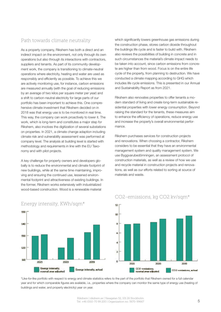## Path towards climate neutrality

As a property company, Rikshem has both a direct and an indirect impact on the environment, not only through its own operations but also through its interactions with contractors, suppliers and tenants. As part of its community development work, the company is transitioning to climate-neutral operations where electricity, heating and water are used as responsibly and efficiently as possible. To achieve this we are actively monitoring use, for instance, carbon emissions are measured annually (with the goal of reducing emissions by an average of two kilos per square meter per year) and a shift to carbon-neutral electricity for large parts of our portfolio has been important to achieve this. One comprehensive climate investment that Rikshem decided on in 2018 was that energy use is to be monitored in real time. This way, the company can work proactively to lower it. The work, which is long-term and constitutes a major step for Rikshem, also involves the digitization of several substations on properties. In 2021, a climate change adaption including climate risk and vulnerability assessment was performed at company level. The analysis at building level is started with methodology and requirements in line with the EU Taxonomy and with pilot projects.

A key challenge for property owners and developers globally is to reduce the environmental and climate footprint of new buildings, while at the same time maintaining, improving and ensuring the continued use, lessened environmental footprint and attractiveness of existing buildings. In the former, Rikshem works extensively with industrialized wood-based construction. Wood is a renewable material

which significantly lowers greenhouse gas emissions during the construction phase, stores carbon dioxide throughout the buildings life cycle and is faster to build with. Rikshem also reviews the possibilities of building in concrete and in such circumstances the material's climate impact needs to be taken into account, since carbon emissions from concrete are higher than from wood. Focus is on the entire life cycle of the property, from planning to destruction. We have conducted a climate mapping according to GHG which includes life cycle emissions. This is presented in our Annual and Sustainability Report as from 2021.

Rikshem also renovates properties to offer tenants a modern standard of living and create long-term sustainable residential properties with lower energy consumption. Beyond raising the standard for the tenants, these measures aim to enhance the efficiency of operations, reduce energy use and increase the property's overall environmental performance.

Rikshem purchases services for construction projects and renovations. When choosing a contractor, Rikshem considers to be essential that they have an environmental management system and quality management system. We use Byggvarubedömningen, an assessment protocol of construction materials, as well as a review of how we use and recycle material in construction projects and renovations, as well as our efforts related to sorting at source of materials and waste.



### Energy intensity, KWh/sqm\*

### CO2-emissions, kg CO2 kv/sqm\*



\*Like-for-like portfolio with respect to energy and climate statistics refers to the part of the portfolio that Rikshem owned for a full calendar year and for which comparable figures are available, i.e., properties where the company can monitor the same type of energy use (heating of buildings and water, and property electricity) year on year.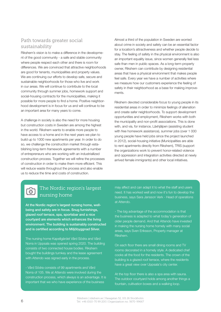## Path towards greater social sustainability

Rikshem's vision is to make a difference in the development of the good community - a safe and stable community where people respect each other and there is room for differences. We are convinced that attractive neighborhoods are good for tenants, municipalities and property values. We are continuing our efforts to develop safe, secure and sustainable neighborhoods for those who live and work in our areas. We will continue to contribute to the local community through summer jobs, homework support and social-housing contracts for the municipalities, making it possible for more people to find a home. Positive neighborhood development is in focus for us and will continue to be an important area for many years to come.

A challenge in society is also the need for more housing but construction costs in Sweden are among the highest in the world. Rikshem wants to enable more people to have access to a home and in the next years we plan to build up to 1000 new apartments per year. In order to do so, we challenge the construction market through establishing long-term framework agreements with a number of entrepreneurs who are working with an industriallized construction process. Together we will refine the processes of construction in order to make them more efficient. This will reduce waste throughout the process and also enable us to reduce the time and costs of construction.

Almost a third of the population in Sweden are worried about crime in society and safety can be an essential factor for a location's attractiveness and whether people decide to stay. The feeling of safety in the physical environment is also an important equality issue, since women generally feel less safe than men in public spaces. As a long-term property owner, Rikshem can contribute by designing residential areas that have a physical environment that makes people feel safe. Every year we have a number of activities where we measure how our customers experience the feeling of safety in their neighborhood as a base for making improvements.

Rikshem devoted considerable focus to young people in its residential areas in order to minimize feelings of alienation and create safer neighborhoods. To support development opportunities and employment, Rikshem works with both the municipality and non-profit associations. This is done with, and via, for instance, Läxhjälpen (assisting student with free homework assistance), summer jobs (over 1 000 young people have held jobs since the project launched in 2012), social-housing initiative (Municipalities are able to rent apartments directly from Rikshem), TRIS (support the organizations work to prevent honor-related violence and oppression and integration activities directed at newly arrived female immigrants) and other local initiatives.

## The Nordic region's largest nursing home

At the Nordic region's largest nursing home, wellbeing and safety are in focus. Snug furnishings, glazed roof terrace, spa, sportsbar and a nice courtyard are elements which enhances the living environment. The building is sustainably constructed and is certified according to Miljöbyggnad Silver.

The nursing home Kapellgärdet Vård Södra and Vård Norra in Uppsala was opened spring 2020. The building consists of two connected house bodies. Rikshem bought the buildings turnkey and the lease agreement with Attendo was signed early in the process.

- Vård Södra consists of 99 apartments and Vård Norra of 105. We at Attendo were involved during the construction process, which always is an advantage. It is important that we who have experience of the business

may affect and can adapt it to what the staff and users need. It has worked well and now it's fun to develop the business, says Sara Jansson Verk - Head of operations at Attendo.

- The big advantage of the accommodation is that the business is adapted to what today's generation of older people demand. And that Attendo have invested in making the nursing home homely with many social areas, says Sven Eriksson, Property manager at Rikshem.

On each floor there are small dining rooms and TV rooms decorated in a homely style. A dedicated chef cooks all the food for the residents. The crown of the building is a glazed roof terrace, where the residents have a great view over Uppsala's city center.

At the top floor there is also a spa area with sauna. The outdoor courtyard holds among another things a fountain, cultivation boxes and a walking loop.

ō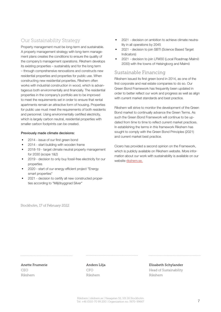## Our Sustainability Strategy

Property management must be long-term and sustainable. A property management strategy with long-term management plans creates the conditions to ensure the quality of the company's management operations. Rikshem develops its existing properties – sustainably and for the long term – through comprehensive renovations and constructs new residential properties and properties for public use. When constructing new residential properties, Rikshem often works with industrial construction in wood, which is advantageous both environmentally and financially. The residential properties in the company's portfolio are to be improved to meet the requirements set in order to ensure that rental apartments remain an attractive form of housing. Properties for public use must meet the requirements of both residents and personnel. Using environmentally certified electricity, which is largely carbon neutral, residential properties with smaller carbon footprints can be created.

#### Previously made climate decisions:

- 2014 issue of our first green bond
- 2014 start building with wooden frame
- 2018-19 target climate neutral property management for 2030 (scope 1&2)
- 2019 decision to only buy fossil-free electricity for our properties
- 2020 start of our energy efficient project "Energy smart properties"
- 2021 decision to certify all new constructed properties according to "Miljöbyggnad Silver"
- 2021 decision on ambition to achieve climate neutrality in all operations by 2045
- 2021 decision to join SBTI (Science Based Target Indicators)
- 2021 decision to join LFM30 (Local Roadmap Malmö 2030) with the towns of Helsingborg and Malmö

### Sustainable Financing

Rikshem issued its first green bond in 2014, as one of the first corporate and real estate companies to do so. Our Green Bond Framework has frequently been updated in order to better reflect our work and progress as well as align with current market standards and best practice.

Rikshem will strive to monitor the development of the Green Bond market to continually advance the Green Terms. As such the Green Bond Framework will continue to be updated from time to time to reflect current market practices. In establishing the terms in this framework Rikshem has sought to comply with the Green Bond Principles (2021) and current market best practice.

Cicero has provided a second opinion on the Framework, which is publicly available on Rikshem website. More information about our work with sustainability is available on our website rikshem.se.

Stockholm, 17 of February 2022

Anette Frumerie CEO Rikshem

Anders Lilja CFO Rikshem

Elisabeth Schylander

Head of Sustainability Rikshem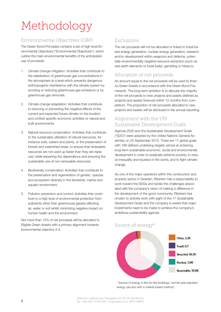## Methodology

## Environmental Objectives (GBP)

The Green Bond Principles contains a set of high level Environmental Objectives ("Environmental Objectives"), which outline the main environmental benefits of the anticipated use of proceeds.

- 1. Climate change mitigation: Activities that contribute to the stabilization of greenhouse gas concentrations in the atmosphere at a level which prevents dangerous anthropogenic interference with the climate system by avoiding or reducing greenhouse gas emissions or by greenhouse gas removals.
- 2. Climate change adaptation: Activities that contribute to reducing or preventing the negative effects of the current and expected future climate on the location and context specific economic activities or natural and built environments.
- 3. Natural resource conservation: Activities that contribute to the sustainable utilization of natural resources, for instance soils, waters and plants, or the preservation of forests and watershed areas, to ensure that renewable resources are not used up faster than they are replaced, while lessening the dependence and ensuring the sustainable use of non-renewable resources.
- 4. Biodiversity conservation: Activities that contribute to the preservation and regeneration of genetic, species and ecosystem diversity in the terrestrial, marine and aquatic environment.
- 5. Pollution prevention and control: Activities that contribute to a high level of environmental protection from pollutants other than greenhouse gasses affecting air, water or soil whilst minimizing negative impact on human health and the environment.

Not more than 15% of net proceeds will be allocated to Eligible Green Assets with a primary alignment towards environmental objective 3-5.

### Exclusions

The net proceeds will not be allocated or linked to fossil based energy generation, nuclear energy generation, research and/or development within weapons and defence, potentially environmentally negative resource extraction (such as rare-earth elements or fossil fuels), gambling or tobacco.

## Allocation of net proceeds

An amount equal to the net proceeds will be used to finance Green Assets in accordance with the Green Bond Framework. The long-term ambition is to allocate the majority of the net proceeds to new projects and assets (defined as projects and assets financed within 12 months from completion). The proportion of net proceeds allocated to new projects and assets will be disclosed in the annual reporting.

## Alignment with the UN Sustainable Development Goals

Agenda 2030 and the Sustainable Development Goals ("SDG") were adopted by the United Nations General Assembly on 25 September 2015. There are 17 global goals with 169 defined underlying targets, aimed at achieving long-term sustainable economic, social and environmental development in order to eradicate extreme poverty, to reduce inequality and injustice in the world, and to fight climate change.

As one of the major operators within the construction and property sector in Sweden, Rikshem has a responsibility to work toward the SDGs and tackle the challenges associated with the company's vision of making a difference in the development of the good community. Rikshem has chosen to actively work with eight of the 17 Sustainable Development Goals and the company is aware that major investments need to be made to achieve the company's ambitious sustainability agenda.

## Source of energy\*



\* Source of energy in like-for-like buildings, normal year-adjusted energy use and with a market-based method.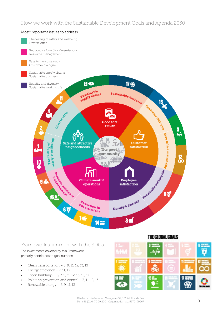#### The feeling of saftey and wellbeing Diverse offer Reduced carbon dioxide emissions Resource management Easy to live sustainaby Customer dialogue Sustainable supply chains Sustainable business Equality and diversity **no**  $7%$ Sustainable working lifeSustainable business Sustainable Sustainable<br>supply chains Equality & always and all the GLOBAL SOALS Д **STATE STATE Good total** return á The feeling of<br>safety & wellbeing Safe and attractive يبلي neighborhoods M The good community  $\frac{12}{50}$ Ьñ 10 88 a a china ann ď **Climate-neutral** 8品 e ett iciency operations 形式 Reduction in  $\frac{R_{0}}{C_{O_{s}}}\frac{d u_{\text{c}}_{t}}{e_{\text{m}}_{t}}\frac{1}{s_{i}}$ 68 1\* **14525**

### Framework alignment with the SDGs The investments covered by this Framework

primarily contributes to goal number:

Most important issues to address

- Clean transportation  $-$  3, 9, 11, 12, 13, 15
- Energy efficiency 7, 11, 13
- Green buildings 6, 7, 9, 11, 12, 13, 15, 17
- Pollution prevention and control 3, 11, 12, 13
- Renewable energy 7, 9, 11, 13



## THE GLOBAL GOALS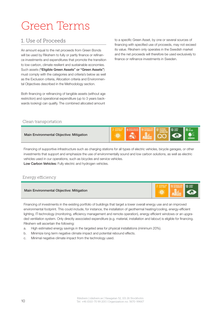## Green Terms

## 1. Use of Proceeds

An amount equal to the net proceeds from Green Bonds will be used by Rikshem to fully or partly finance or refinance investments and expenditures that promote the transition to low-carbon, climate resilient and sustainable economies. Such assets ("Eligible Green Assets" or "Green Assets") must comply with the categories and criteria's below as well as the Exclusion criteria, Allocation criteria and Environmental Objectives described in the Methodology section.

Both financing or refinancing of tangible assets (without age restriction) and operational expenditure (up to 3 years backwards looking) can qualify. The combined allocated amount

to a specific Green Asset, by one or several sources of financing with specified use of proceeds, may not exceed its value. Rikshem only operates in the Swedish market and the net proceeds will therefore be used exclusively to finance or refinance investments in Sweden.

 $\odot$ 

#### Clean transportation



Financing of supportive infrastructure such as charging stations for all types of electric vehicles, bicycle garages, or other investments that support and emphasize the use of environmentally sound and low carbon solutions, as well as electric vehicles used in our operations, such as bicycles and service vehicles. Low Carbon Vehicles: Fully electric and hydrogen vehicles.

#### Energy efficiency

#### Main Environmental Objective: Mitigation

Financing of investments in the existing portfolio of buildings that target a lower overall energy use and an improved environmental footprint. This could include, for instance, the installation of geothermal heating/cooling, energy-efficient lighting, IT-technology (monitoring, efficiency management and remote operation), energy efficient windows or an upgraded ventilation system. Only directly associated expenditure (e.g. material, installation and labour) is eligible for financing. Rikshem will ascertain the following:

- a. High estimated energy savings in the targeted area for physical installations (minimum 20%).
- b. Minimize long term negative climate impact and potential rebound effects.
- c. Minimal negative climate impact from the technology used.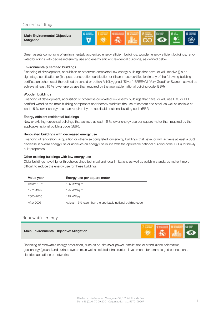#### Green buildings

Green assets comprising of environmentally accredited energy efficient buildings, wooden energy efficient buildings, renovated buildings with decreased energy use and energy efficient residential buildings, as defined below.

#### Environmentally certified buildings

Financing of development, acquisition or otherwise completed low energy buildings that have, or will, receive (i) a design stage certification or (ii) a post-construction certification or (iii) an in-use certification in any of the following building certification schemes at the defined threshold or better: Miljöbyggnad "Silver", BREEAM "Very Good" or Svanen, as well as achieve at least 15 % lower energy use than required by the applicable national building code (BBR).

#### Wooden buildings

Financing of development, acquisition or otherwise completed low energy buildings that have, or will, use FSC or PEFC certified wood as the main building component and thereby minimize the use of cement and steel, as well as achieve at least 15 % lower energy use than required by the applicable national building code (BBR).

#### Energy efficient residential buildings

New or existing residential buildings that achieve at least 15 % lower energy use per square meter than required by the applicable national building code (BBR).

#### Renovated buildings with decreased energy use

Financing of renovation, acquisition or otherwise completed low energy buildings that have, or will, achieve at least a 30% decrease in overall energy use or achieves an energy use in line with the applicable national building code (BBR) for newly built properties.

#### Other existing buildings with low energy use

Older buildings have higher thresholds since technical and legal limitations as well as building standards make it more difficult to reduce the energy use for these buildings.

| Value year   | Energy use per square meter                                   |
|--------------|---------------------------------------------------------------|
| Before 1971: | 135 kW/sq m                                                   |
| 1971-1999    | 125 kW/sq m                                                   |
| 2000-2006    | 115 kW/sq m                                                   |
| After 2006   | At least 15% lower than the applicable national building code |

#### Renewable energy

#### Main Environmental Objective: Mitigation



Financing of renewable energy production, such as on-site solar power installations or stand-alone solar farms, geo-energy (ground and surface systems) as well as related infrastructure investments for example grid connections, electric substations or networks.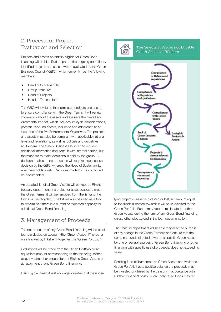## 2. Process for Project Evaluation and Selection

Projects and assets potentially eligible for Green Bond financing will be identified as part of the ongoing operations. Identified projects and assets will be evaluated by the Green Business Council ("GBC"), which currently has the following members:

- Head of Sustainability
- Group Treasurer
- Head of Projects
- Head of Transactions

The GBC will evaluate the nominated projects and assets to ensure compliance with the Green Terms. It will review information about the assets and evaluate the overall environmental impact, which includes life cycle considerations, potential rebound effects, resilience and adherence to at least one of the five Environmental Objectives. The projects and assets must also be compliant with applicable national laws and regulations, as well as policies and guidelines at Rikshem. The Green Business Council can request additional information and consult with internal parties, but the mandate to make decisions is held by the group. A decision to allocate net proceeds will require a consensus decision by the GBC, whereby the Head of Sustainability effectively holds a veto. Decisions made by the council will be documented.

An updated list of all Green Assets will be kept by Rikshem treasury department. If a project or asset ceases to meet the Green Terms, it will be removed from the list (and the funds will be recycled). The list will also be used as a tool to determine if there is a current or expected capacity for additional Green Bond financing.

## 3. Management of Proceeds

The net proceeds of any Green Bond financing will be credited to a dedicated account (the "Green Account") or otherwise tracked by Rikshem (together, the "Green Portfolio").

Deductions will be made from the Green Portfolio by an equivalent amount corresponding to the financing, refinancing, investment or expenditure of Eligible Green Assets or at repayment of any Green Bond financing.

If an Eligible Green Asset no longer qualifies or if the under-



### The Selection Process of Eligible Green Assets at Rikshem



lying project or asset is divested or lost, an amount equal to the funds allocated towards it will be re-credited to the Green Portfolio. Funds may also be reallocated to other Green Assets during the term of any Green Bond financing, unless otherwise agreed in the loan documentation.

The treasury department will keep a record of the purpose of any change in the Green Portfolio and ensure that the combined funds directed towards a specific Green Asset, by one or several sources of Green Bond financing or other financing with specific use of proceeds, does not exceed its value.

Pending fund disbursement to Green Assets and while the Green Portfolio has a positive balance the proceeds may be invested or utilised by the treasury in accordance with Rikshem financial policy. Such unallocated funds may for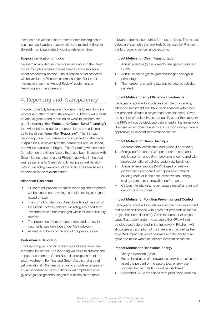instance be invested in short-term interest bearing securities, such as Swedish treasury bills (and related entities) or Swedish municipal notes (including related entities).

#### Ex-post verification of funds

Rikshem acknowledges the recommendation in the Green Bond Principles regarding transparency and verification of net proceeds allocation. The allocation of net proceeds will be verified by Rikshem external auditor. For further information, see the "Annual Review" section under Reporting and Transparency.

## 4. Reporting and Transparency

In order to be fully transparent towards the Green Bond investors and other market stakeholders, Rikshem will publish an annual green bond report on its website (rikshem.se/ gronfinansierng) (the "Website for Green Bond financing") that will detail the allocation of green funds and adherence to the Green Terms (the "Reporting"). The first such Reporting under this Framework is expected to take place in April 2023, in proximity to the company's Annual Report, and will be available in English. The Reporting will contain information on the Green Assets that have been financed with Green Bonds, a summary of Rikshem activities in the past year as pertains to Green Bond financing as well as information, including examples, of the financed Green Asset's adherence to the relevant criteria.

#### Allocation Disclosure

- Rikshem will provide allocation reporting and emphasis will be placed on providing examples to single projects based on size.
- The sum of outstanding Green Bonds and the sum of the Green Portfolio balance, including any short term investments or funds managed within Rikshem liquidity portfolio.
- The proportion of net proceeds allocated to new investments (see definition under Methodology).
- All data is to be as of the end of the previous year.

#### Performance Reporting

The Reporting will contain a disclosure of asset level performance indicators. The reporting will strive to disclose the impact based on the Green Bond financings share of the total investment. For financed Green Assets that are not yet operational, Rikshem will strive to provide estimates of future performance levels. Rikshem will emphasise energy savings and greenhouse gas reductions as the most

relevant performance metrics for most projects. The metrics below are examples that are likely to be used by Rikshem in the forthcoming performance reporting.

#### Impact Metrics for Clean Transportation

- i. Annual absolute (gross) greenhouse gas emissions in CO2e.
- ii. Annual absolute (gross) greenhouse gas savings in percentage.
- iii. The number of charging stations for electric vehicles installed.

#### Impact Metrics Energy Efficiency Investments

Each yearly report will include an example of an energy efficiency investment that have been financed with green net proceeds (if such a project has been financed). Given the number of project types that qualify under the category the KPI's will not be disclosed beforehand in the framework. Rikshem will emphasize energy and carbon savings, where applicable, as relevant performance metrics.

#### Impact Metrics for Green Buildings

- i. Environmental certification and grade (if applicable).
- ii. Energy performance (kWh per square meter) and relative performance (%-improvement) compared with applicable national building code (new buildings).
- iii. Annual energy savings (MWh) based on relative performance compared with applicable national building code or in the case of renovation, energy savings versus pre renovation performance.
- iv. Carbon intensity (grams per square meter) and annual carbon savings (tones).

#### Impact Metrics for Pollution Prevention and Control

Each yearly report will include an example of an investment that has been financed with green net proceeds (if such a project has been financed). Given the number of project types that qualify under the category the KPIs will not be disclosed beforehand in the framework. Rikshem will showcase a description of the investment, as well as the expected impact on waste volumes and the ability to recycle and reuse waste as relevant information metrics.

#### Impact Metrics for Renewable Energy

- i. Yearly production (GWh).
- ii. For an installation of renewable energy in a real estate asset the percent of the assets total energy use supplied by the installation will be disclosed.
- iii. Prevented CO2e emissions from production (tonnes).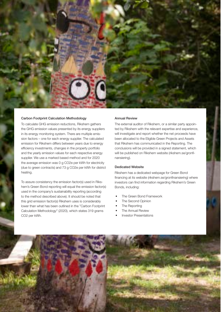

#### Carbon Footprint Calculation Methodology

To calculate GHG emission reductions, Rikshem gathers the GHG emission values presented by its energy suppliers in its energy monitoring system. There are multiple emission factors – one for each energy supplier. The calculated emission for Rikshem differs between years due to energy efficiency investments, changes in the property portfolio and the yearly emission values for each respective energy supplier. We use a marked based method and for 2020 the average emission was 0 g CO2e per kWh for electricity (due to green contracts) and 73 g CO2e per kWh for district heating.

To assure consistency the emission factor(s) used in Rikshem's Green Bond reporting will equal the emission factor(s) used in the company's sustainability reporting (according to the method described above). It should be noted that this grid emission factor(s) Rikshem uses is considerably lower than what has been outlined in the "Carbon Footprint Calculation Methodology" (2020), which states 319 grams CO2 per kWh.

#### Annual Review

The external auditor of Rikshem, or a similar party appointed by Rikshem with the relevant expertise and experience, will investigate and report whether the net proceeds have been allocated to the Eligible Green Projects and Assets that Rikshem has communicated in the Reporting. The conclusions will be provided in a signed statement, which will be published on Rikshem website (rikshem.se/gronfinansiering).

#### Dedicated Website

Rikshem has a dedicated webpage for Green Bond financing at its website (rikshem.se/gronfinansiering) where investors can find information regarding Rikshem's Green Bonds, including:

- The Green Bond Framework
- The Second Opinion
- The Reporting
- The Annual Review
- Investor Presentations

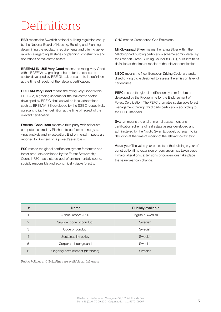## Definitions

**BBR** means the Swedish national building regulation set up by the National Board of Housing, Building and Planning, determining the regulatory requirements and offering general advice regarding all stages of planning, construction and operations of real estate assets.

BREEAM IN-USE Very Good means the rating Very Good within BREEAM, a grading scheme for the real estate sector developed by BRE Global, pursuant to its definition at the time of receipt of the relevant certification.

**BREEAM Very Good** means the rating Very Good within BREEAM, a grading scheme for the real estate sector developed by BRE Global, as well as local adaptations such as BREEAM-SE developed by the SGBC respectively, pursuant to its/their definition at the time of receipt of the relevant certification.

**External Consultant** means a third party with adequate competence hired by Rikshem to perform an energy savings analysis and investigation. Environmental impacts are reported to Rikshem on a project/asset basis.

FSC means the global certification system for forests and forest products developed by the Forest Stewardship Council. FSC has a stated goal of environmentally sound, socially responsible and economically viable forestry.

GHG means Greenhouse Gas Emissions.

Miljöbyggnad Silver means the rating Silver within the Miljöbyggnad building certification scheme administered by the Sweden Green Building Council (SGBC), pursuant to its definition at the time of receipt of the relevant certification.

NEDC means the New European Driving Cycle, a standardised driving cycle designed to assess the emission level of car engines.

PEFC means the global certification system for forests developed by the Programme for the Endorsement of Forest Certification. The PEFC promotes sustainable forest management through third party certification according to the PEFC standard.

Svanen means the environmental assessment and certification scheme of real estate assets developed and administered by the Nordic Swan Ecolabel, pursuant to its definition at the time of receipt of the relevant certification.

Value year The value year consists of the building's year of construction if no extension or conversion has taken place. If major alterations, extensions or conversions take place the value year can change.

| #              | <b>Name</b>                    | <b>Publicly available</b> |  |  |
|----------------|--------------------------------|---------------------------|--|--|
|                | Annual report 2020             | English / Swedish         |  |  |
| $\mathcal{P}$  | Supplier code of conduct       | Swedish                   |  |  |
| 3              | Code of conduct                | Swedish                   |  |  |
| $\overline{4}$ | Sustainability policy          | Swedish                   |  |  |
| 5              | Corporate background           | Swedish                   |  |  |
| 6              | Ongoing development (database) | Swedish                   |  |  |

Public Policies and Guidelines are available at rikshem.se